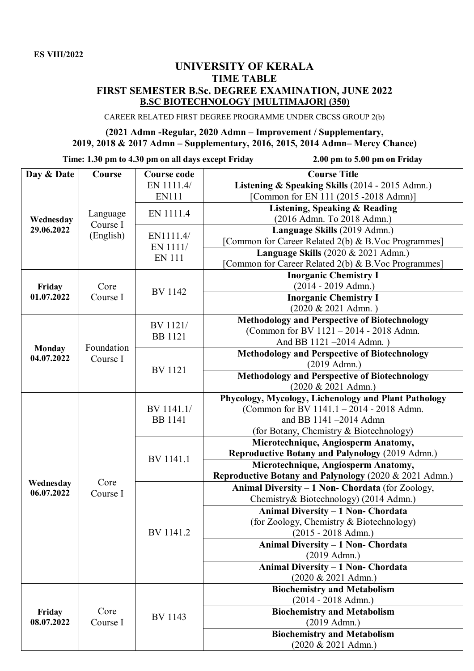## **UNIVERSITY OF KERALA TIME TABLE FIRST SEMESTER B.Sc. DEGREE EXAMINATION, JUNE 2022 B.SC BIOTECHNOLOGY [MULTIMAJOR] (350)**

CAREER RELATED FIRST DEGREE PROGRAMME UNDER CBCSS GROUP 2(b)

## **(2021 Admn -Regular, 2020 Admn – Improvement / Supplementary, 2019, 2018 & 2017 Admn – Supplementary, 2016, 2015, 2014 Admn– Mercy Chance)**

**Time: 1.30 pm to 4.30 pm on all days except Friday 2.00 pm to 5.00 pm on Friday**

| Day & Date              | Course                            | <b>Course code</b>                     | <b>Course Title</b>                                                   |
|-------------------------|-----------------------------------|----------------------------------------|-----------------------------------------------------------------------|
| Wednesday<br>29.06.2022 | Language<br>Course I<br>(English) | EN 1111.4/                             | Listening & Speaking Skills (2014 - 2015 Admn.)                       |
|                         |                                   | <b>EN111</b>                           | [Common for EN 111 (2015 -2018 Admn)]                                 |
|                         |                                   | EN 1111.4                              | <b>Listening, Speaking &amp; Reading</b>                              |
|                         |                                   |                                        | (2016 Admn. To 2018 Admn.)                                            |
|                         |                                   | EN1111.4/<br>EN 1111/<br><b>EN 111</b> | Language Skills (2019 Admn.)                                          |
|                         |                                   |                                        | [Common for Career Related 2(b) & B.Voc Programmes]                   |
|                         |                                   |                                        | Language Skills $(2020 \& 2021$ Admn.)                                |
|                         |                                   |                                        | [Common for Career Related 2(b) & B.Voc Programmes]                   |
| Friday<br>01.07.2022    | Core<br>Course I                  | <b>BV</b> 1142                         | <b>Inorganic Chemistry I</b>                                          |
|                         |                                   |                                        | $(2014 - 2019$ Admn.)                                                 |
|                         |                                   |                                        | <b>Inorganic Chemistry I</b>                                          |
|                         |                                   |                                        | (2020 & 2021 Admn.)                                                   |
|                         | Foundation<br>Course I            | BV 1121/<br><b>BB</b> 1121             | Methodology and Perspective of Biotechnology                          |
|                         |                                   |                                        | (Common for BV 1121 - 2014 - 2018 Admn.                               |
| <b>Monday</b>           |                                   |                                        | And BB 1121-2014 Admn.)                                               |
| 04.07.2022              |                                   | <b>BV</b> 1121                         | <b>Methodology and Perspective of Biotechnology</b><br>$(2019$ Admn.) |
|                         |                                   |                                        | <b>Methodology and Perspective of Biotechnology</b>                   |
|                         |                                   |                                        | (2020 & 2021 Admn.)                                                   |
|                         | Core<br>Course I                  | BV 1141.1/<br><b>BB</b> 1141           | Phycology, Mycology, Lichenology and Plant Pathology                  |
|                         |                                   |                                        | (Common for BV 1141.1 - 2014 - 2018 Admn.                             |
|                         |                                   |                                        | and BB 1141-2014 Admn                                                 |
|                         |                                   |                                        | (for Botany, Chemistry & Biotechnology)                               |
|                         |                                   |                                        | Microtechnique, Angiosperm Anatomy,                                   |
|                         |                                   |                                        | Reproductive Botany and Palynology (2019 Admn.)                       |
|                         |                                   | BV 1141.1                              | Microtechnique, Angiosperm Anatomy,                                   |
|                         |                                   |                                        | Reproductive Botany and Palynology (2020 & 2021 Admn.)                |
| Wednesday<br>06.07.2022 |                                   | BV 1141.2                              | Animal Diversity - 1 Non- Chordata (for Zoology,                      |
|                         |                                   |                                        | Chemistry& Biotechnology) (2014 Admn.)                                |
|                         |                                   |                                        | Animal Diversity - 1 Non- Chordata                                    |
|                         |                                   |                                        | (for Zoology, Chemistry & Biotechnology)                              |
|                         |                                   |                                        | $(2015 - 2018$ Admn.)                                                 |
|                         |                                   |                                        | Animal Diversity - 1 Non- Chordata                                    |
|                         |                                   |                                        | $(2019$ Admn.)                                                        |
|                         |                                   |                                        | <b>Animal Diversity - 1 Non- Chordata</b>                             |
|                         |                                   |                                        | (2020 & 2021 Admn.)                                                   |
| Friday<br>08.07.2022    | Core<br>Course I                  | <b>BV</b> 1143                         | <b>Biochemistry and Metabolism</b>                                    |
|                         |                                   |                                        | $(2014 - 2018$ Admn.)                                                 |
|                         |                                   |                                        | <b>Biochemistry and Metabolism</b>                                    |
|                         |                                   |                                        | $(2019$ Admn.)                                                        |
|                         |                                   |                                        | <b>Biochemistry and Metabolism</b>                                    |
|                         |                                   |                                        | (2020 & 2021 Admn.)                                                   |